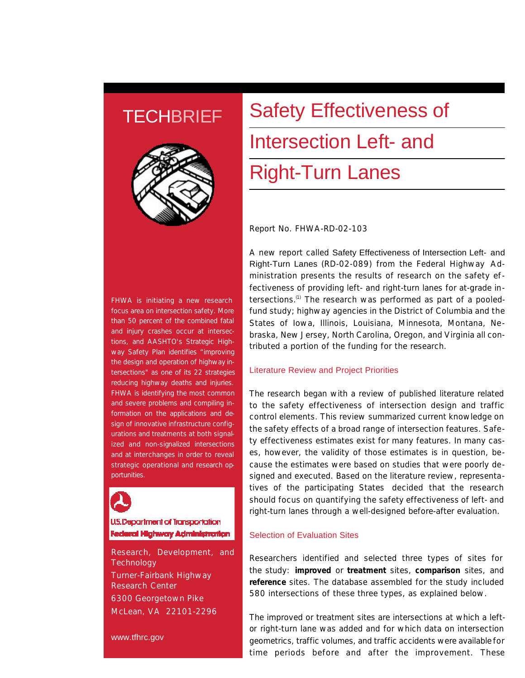## **TECHBRIEF**



FHWA is initiating a new research focus area on intersection safety. More than 50 percent of the combined fatal and injury crashes occur at intersections, and AASHTO's Strategic Highway Safety Plan identifies "improving the design and operation of highway intersections" as one of its 22 strategies reducing highway deaths and injuries. FHWA is identifying the most common and severe problems and compiling information on the applications and design of innovative infrastructure configurations and treatments at both signalized and non-signalized intersections and at interchanges in order to reveal strategic operational and research opportunities.



#### **U.S. Department of Transportation** Federal Highway Administration

Research, Development, and **Technology** Turner-Fairbank Highway Research Center 6300 Georgetown Pike McLean, VA 22101-2296

www.tfhrc.gov

# Safety Effectiveness of Intersection Left- and Right-Turn Lanes

Report No. FHWA-RD-02-103

A new report called Safety Effectiveness of Intersection Left- and Right-Turn Lanes (RD-02-089) from the Federal Highway Administration presents the results of research on the safety effectiveness of providing left- and right-turn lanes for at-grade intersections.(1) The research was performed as part of a pooledfund study; highway agencies in the District of Columbia and the States of Iowa, Illinois, Louisiana, Minnesota, Montana, Nebraska, New Jersey, North Carolina, Oregon, and Virginia all contributed a portion of the funding for the research.

#### Literature Review and Project Priorities

The research began with a review of published literature related to the safety effectiveness of intersection design and traffic control elements. This review summarized current knowledge on the safety effects of a broad range of intersection features. Safety effectiveness estimates exist for many features. In many cases, however, the validity of those estimates is in question, because the estimates were based on studies that were poorly designed and executed. Based on the literature review, representatives of the participating States decided that the research should focus on quantifying the safety effectiveness of left- and right-turn lanes through a well-designed before-after evaluation.

#### Selection of Evaluation Sites

Researchers identified and selected three types of sites for the study: **improved** or **treatment** sites, **comparison** sites, and **reference** sites. The database assembled for the study included 580 intersections of these three types, as explained below.

The improved or treatment sites are intersections at which a leftor right-turn lane was added and for which data on intersection geometrics, traffic volumes, and traffic accidents were available for time periods before and after the improvement. These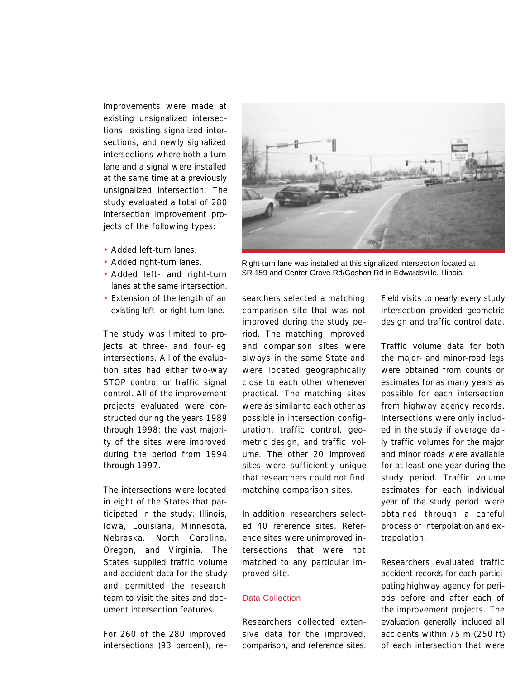improvements were made at existing unsignalized intersections, existing signalized intersections, and newly signalized intersections where both a turn lane and a signal were installed at the same time at a previously unsignalized intersection. The study evaluated a total of 280 intersection improvement projects of the following types:

- Added left-turn lanes.
- Added right-turn lanes.
- Added left- and right-turn lanes at the same intersection.
- Extension of the length of an existing left- or right-turn lane.

The study was limited to projects at three- and four-leg intersections. All of the evaluation sites had either two-way STOP control or traffic signal control. All of the improvement projects evaluated were constructed during the years 1989 through 1998; the vast majority of the sites were improved during the period from 1994 through 1997.

The intersections were located in eight of the States that participated in the study: Illinois, Iowa, Louisiana, Minnesota, Nebraska, North Carolina, Oregon, and Virginia. The States supplied traffic volume and accident data for the study and permitted the research team to visit the sites and document intersection features.

For 260 of the 280 improved intersections (93 percent), re -



Right-turn lane was installed at this signalized intersection located at SR 159 and Center Grove Rd/Goshen Rd in Edwardsville, Illinois

searchers selected a matching comparison site that was not improved during the study period. The matching improved and comparison sites were always in the same State and were located geographically close to each other whenever practical. The matching sites were as similar to each other as possible in intersection configuration, traffic control, geometric design, and traffic volume. The other 20 improved sites were sufficiently unique that researchers could not find matching comparison sites.

In addition, researchers selected 40 reference sites. Reference sites were unimproved intersections that were not matched to any particular improved site.

#### Data Collection

Researchers collected extensive data for the improved, comparison, and reference sites. Field visits to nearly every study intersection provided geometric design and traffic control data.

Traffic volume data for both the major- and minor-road legs were obtained from counts or estimates for as many years as possible for each intersection from highway agency records. Intersections were only included in the study if average daily traffic volumes for the major and minor roads were available for at least one year during the study period. Traffic volume estimates for each individual year of the study period were obtained through a careful process of interpolation and extrapolation.

Researchers evaluated traffic accident records for each participating highway agency for periods before and after each of the improvement projects. The evaluation generally included all accidents within 75 m (250 ft) of each intersection that were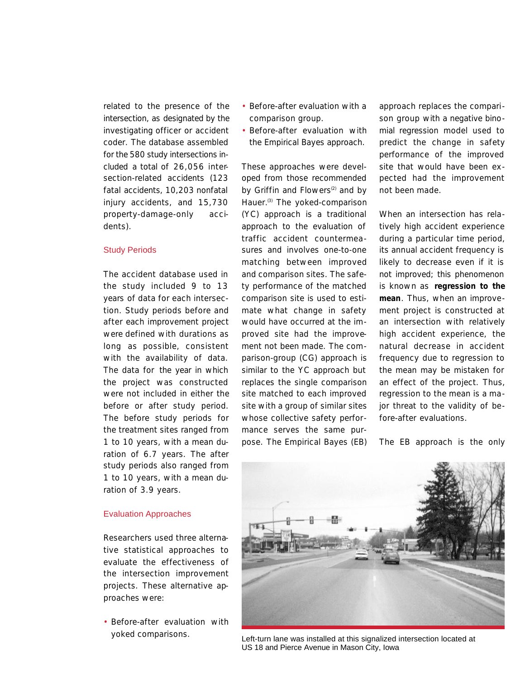related to the presence of the intersection, as designated by the investigating officer or accident coder. The database assembled for the 580 study intersections included a total of 26,056 intersection-related accidents (123 fatal accidents, 10,203 nonfatal injury accidents, and 15,730 property-damage-only accidents).

#### Study Periods

The accident database used in the study included 9 to 13 years of data for each intersection. Study periods before and after each improvement project were defined with durations as long as possible, consistent with the availability of data. The data for the year in which the project was constructed were not included in either the before or after study period. The before study periods for the treatment sites ranged from 1 to 10 years, with a mean duration of 6.7 years. The after study periods also ranged from 1 to 10 years, with a mean duration of 3.9 years.

#### Evaluation Approaches

Researchers used three alternative statistical approaches to evaluate the effectiveness of the intersection improvement projects. These alternative approaches were:

• Before-after evaluation with yoked comparisons.

- Before-after evaluation with a comparison group.
- Before-after evaluation with the Empirical Bayes approach.

These approaches were developed from those recommended by Griffin and Flowers $(2)$  and by Hauer.<sup>(3)</sup> The yoked-comparison (YC) approach is a traditional approach to the evaluation of traffic accident countermeasures and involves one-to-one matching between improved and comparison sites. The safety performance of the matched comparison site is used to estimate what change in safety would have occurred at the improved site had the improvement not been made. The comparison-group (CG) approach is similar to the YC approach but replaces the single comparison site matched to each improved site with a group of similar sites whose collective safety performance serves the same purpose. The Empirical Bayes (EB)

approach replaces the comparison group with a negative binomial regression model used to predict the change in safety performance of the improved site that would have been expected had the improvement not been made.

When an intersection has relatively high accident experience during a particular time period, its annual accident frequency is likely to decrease even if it is not improved; this phenomenon is known as **regression to the mean**. Thus, when an improvement project is constructed at an intersection with relatively high accident experience, the natural decrease in accident frequency due to regression to the mean may be mistaken for an effect of the project. Thus, regression to the mean is a major threat to the validity of before-after evaluations.

The EB approach is the only



Left-turn lane was installed at this signalized intersection located at US 18 and Pierce Avenue in Mason City, Iowa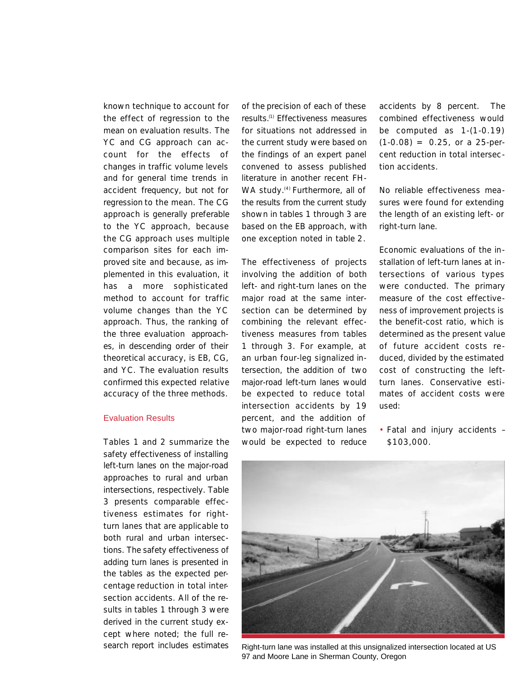known technique to account for the effect of regression to the mean on evaluation results. The YC and CG approach can account for the effects of changes in traffic volume levels and for general time trends in accident frequency, but not for regression to the mean. The CG approach is generally preferable to the YC approach, because the CG approach uses multiple comparison sites for each improved site and because, as implemented in this evaluation, it has a more sophisticated method to account for traffic volume changes than the YC approach. Thus, the ranking of the three evaluation approaches, in descending order of their theoretical accuracy, is EB, CG, and YC. The evaluation results confirmed this expected relative accuracy of the three methods.

#### Evaluation Results

Tables 1 and 2 summarize the safety effectiveness of installing left-turn lanes on the major-road approaches to rural and urban intersections, respectively. Table 3 presents comparable effectiveness estimates for rightturn lanes that are applicable to both rural and urban intersections. The safety effectiveness of adding turn lanes is presented in the tables as the expected percentage reduction in total intersection accidents. All of the results in tables 1 through 3 were derived in the current study except where noted; the full research report includes estimates of the precision of each of these results.(1) Effectiveness measures for situations not addressed in the current study were based on the findings of an expert panel convened to assess published literature in another recent FH-WA study.<sup>(4)</sup> Furthermore, all of the results from the current study shown in tables 1 through 3 are based on the EB approach, with one exception noted in table 2.

The effectiveness of projects involving the addition of both left- and right-turn lanes on the major road at the same intersection can be determined by combining the relevant effectiveness measures from tables 1 through 3. For example, at an urban four-leg signalized intersection, the addition of two major-road left-turn lanes would be expected to reduce total intersection accidents by 19 percent, and the addition of two major-road right-turn lanes would be expected to reduce accidents by 8 percent. The combined effectiveness would be computed as 1-(1-0.19)  $(1-0.08) = 0.25$ , or a 25-percent reduction in total intersection accidents.

No reliable effectiveness measures were found for extending the length of an existing left- or right-turn lane.

Economic evaluations of the installation of left-turn lanes at intersections of various types were conducted. The primary measure of the cost effectiveness of improvement projects is the benefit-cost ratio, which is determined as the present value of future accident costs reduced, divided by the estimated cost of constructing the leftturn lanes. Conservative estimates of accident costs were used:

• Fatal and injury accidents – \$103,000.



Right-turn lane was installed at this unsignalized intersection located at US 97 and Moore Lane in Sherman County, Oregon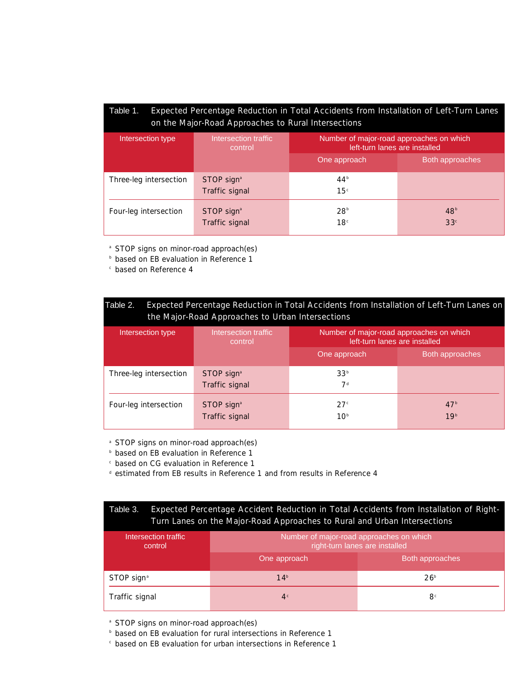### Table 1. Expected Percentage Reduction in Total Accidents from Installation of Left-Turn Lanes on the Major-Road Approaches to Rural Intersections

| Intersection type      | Intersection traffic<br>control          | Number of major-road approaches on which<br>left-turn lanes are installed |                                    |
|------------------------|------------------------------------------|---------------------------------------------------------------------------|------------------------------------|
|                        |                                          | One approach                                                              | Both approaches                    |
| Three-leg intersection | STOP sign <sup>a</sup><br>Traffic signal | 44 <sup>b</sup><br>15 <sup>c</sup>                                        |                                    |
| Four-leg intersection  | STOP sign <sup>ª</sup><br>Traffic signal | 28 <sup>b</sup><br>18 <sup>c</sup>                                        | 48 <sup>b</sup><br>33 <sup>c</sup> |

<sup>a</sup> STOP signs on minor-road approach(es)

**b** based on EB evaluation in Reference 1

<sup>c</sup> based on Reference 4

| Expected Percentage Reduction in Total Accidents from Installation of Left-Turn Lanes on<br>Table 2.<br>the Major-Road Approaches to Urban Intersections |                                            |                                                                           |                                    |  |  |
|----------------------------------------------------------------------------------------------------------------------------------------------------------|--------------------------------------------|---------------------------------------------------------------------------|------------------------------------|--|--|
| Intersection type                                                                                                                                        | Intersection traffic<br>control            | Number of major-road approaches on which<br>left-turn lanes are installed |                                    |  |  |
|                                                                                                                                                          |                                            | One approach                                                              | Both approaches                    |  |  |
| Three-leg intersection                                                                                                                                   | $STOP$ sign <sup>a</sup><br>Traffic signal | 33 <sup>b</sup><br>7 <sup>d</sup>                                         |                                    |  |  |
| Four-leg intersection                                                                                                                                    | STOP sign <sup>a</sup><br>Traffic signal   | 27 <sup>c</sup><br>10 <sup>b</sup>                                        | 47 <sup>b</sup><br>19 <sup>b</sup> |  |  |

<sup>a</sup> STOP signs on minor-road approach(es)

**b** based on EB evaluation in Reference 1

<sup>c</sup> based on CG evaluation in Reference 1

<sup>d</sup> estimated from EB results in Reference 1 and from results in Reference 4

| Table 3. | Expected Percentage Accident Reduction in Total Accidents from Installation of Right- |
|----------|---------------------------------------------------------------------------------------|
|          | Turn Lanes on the Major-Road Approaches to Rural and Urban Intersections              |

| Intersection traffic<br>control | Number of major-road approaches on which<br>right-turn lanes are installed |                 |  |
|---------------------------------|----------------------------------------------------------------------------|-----------------|--|
|                                 | One approach                                                               | Both approaches |  |
| STOP sign <sup>a</sup>          | 14 <sup>b</sup>                                                            | 26 <sup>b</sup> |  |
| Traffic signal                  | 4 <sup>c</sup>                                                             | 8 <sup>c</sup>  |  |

<sup>a</sup> STOP signs on minor-road approach(es)

**b** based on EB evaluation for rural intersections in Reference 1

<sup>c</sup> based on EB evaluation for urban intersections in Reference 1